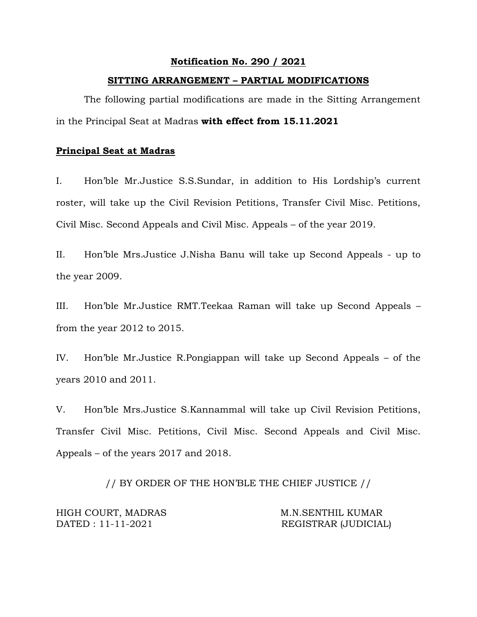#### **Notification No. 290 / 2021**

#### **SITTING ARRANGEMENT – PARTIAL MODIFICATIONS**

The following partial modifications are made in the Sitting Arrangement in the Principal Seat at Madras **with effect from 15.11.2021** 

# **Principal Seat at Madras**

I. Hon'ble Mr.Justice S.S.Sundar, in addition to His Lordship's current roster, will take up the Civil Revision Petitions, Transfer Civil Misc. Petitions, Civil Misc. Second Appeals and Civil Misc. Appeals – of the year 2019.

II. Hon'ble Mrs.Justice J.Nisha Banu will take up Second Appeals - up to the year 2009.

III. Hon'ble Mr.Justice RMT.Teekaa Raman will take up Second Appeals – from the year 2012 to 2015.

IV. Hon'ble Mr.Justice R.Pongiappan will take up Second Appeals – of the years 2010 and 2011.

V. Hon'ble Mrs.Justice S.Kannammal will take up Civil Revision Petitions, Transfer Civil Misc. Petitions, Civil Misc. Second Appeals and Civil Misc. Appeals – of the years 2017 and 2018.

// BY ORDER OF THE HON'BLE THE CHIEF JUSTICE //

HIGH COURT, MADRAS M.N.SENTHIL KUMAR

DATED : 11-11-2021 REGISTRAR (JUDICIAL)